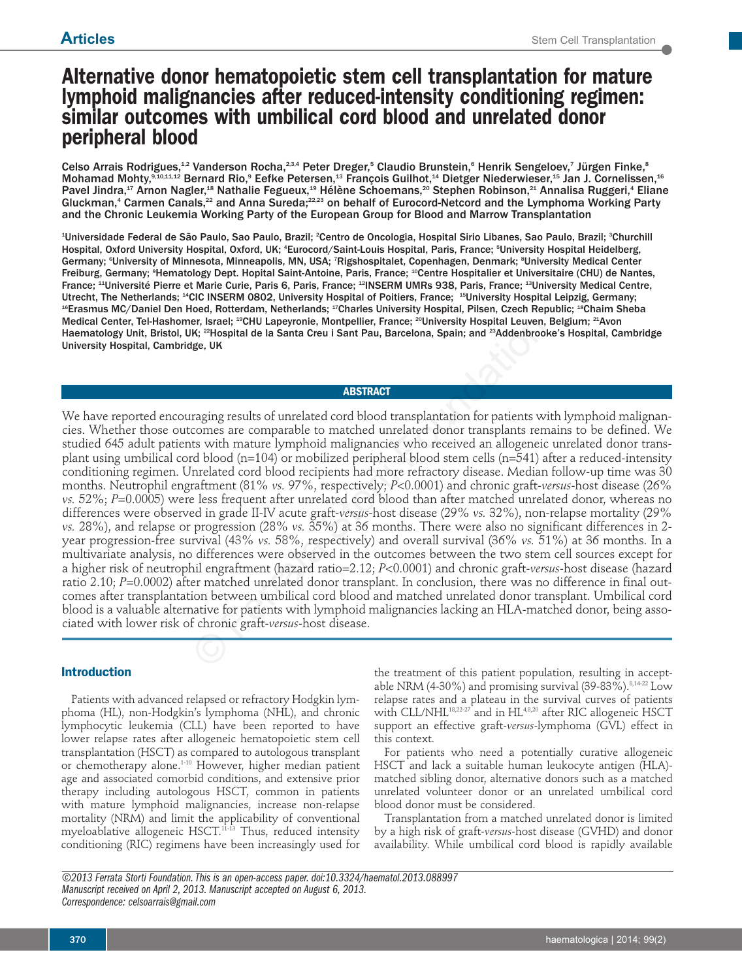# **Alternative donor hematopoietic stem cell transplantation for mature lymphoid malignancies after reduced-intensity conditioning regimen: similar outcomes with umbilical cord blood and unrelated donor peripheral blood**

Celso Arrais Rodrigues, $^{12}$  Vanderson Rocha, $^{23,4}$  Peter Dreger, $^5$  Claudio Brunstein, $^6$  Henrik Sengeloev, $^7$  Jürgen Finke, $^8$ Mohamad Mohty,9,10,11,12 Bernard Rio,9 Eefke Petersen,13 François Guilhot,14 Dietger Niederwieser,15 Jan J. Cornelissen,16 Pavel Jindra,<sup>17</sup> Arnon Nagler,<sup>18</sup> Nathalie Fegueux,<sup>19</sup> Hélène Schoemans,<sup>20</sup> Stephen Robinson,<sup>21</sup> Annalisa Ruggeri,<sup>4</sup> Eliane Gluckman,<sup>4</sup> Carmen Canals,<sup>22</sup> and Anna Sureda;<sup>22,23</sup> on behalf of Eurocord-Netcord and the Lymphoma Working Party and the Chronic Leukemia Working Party of the European Group for Blood and Marrow Transplantation

<del>'</del>Universidade Federal de São Paulo, Sao Paulo, Brazil; <del>'</del>Centro de Oncologia, Hospital Sirio Libanes, Sao Paulo, Brazil; <sup>s</sup>Churchill Hospital, Oxford University Hospital, Oxford, UK; <sup>4</sup>Eurocord/Saint-Louis Hospital, Paris, France; <sup>s</sup>University Hospital Heidelberg, Germany; <sup>s</sup>University of Minnesota, Minneapolis, MN, USA; <sup>7</sup>Rigshospitalet, Copenhagen, Denmark; <sup>s</sup>University Medical Center Freiburg, Germany; 9 Hematology Dept. Hopital Saint-Antoine, Paris, France; 10Centre Hospitalier et Universitaire (CHU) de Nantes, France; <sup>11</sup>Université Pierre et Marie Curie, Paris 6, Paris, France; <sup>12</sup>INSERM UMRs 938, Paris, France; <sup>13</sup>University Medical Centre, Utrecht, The Netherlands; <sup>14</sup>CIC INSERM 0802, University Hospital of Poitiers, France; <sup>15</sup>University Hospital Leipzig, Germany; <sup>16</sup>Erasmus MC/Daniel Den Hoed, Rotterdam, Netherlands; <sup>17</sup>Charles University Hospital, Pilsen, Czech Republic; <sup>18</sup>Chaim Sheba Medical Center, Tel-Hashomer, Israel; <sup>19</sup>CHU Lapeyronie, Montpellier, France; <sup>20</sup>University Hospital Leuven, Belgium; <sup>21</sup>Avon Haematology Unit, Bristol, UK; 22Hospital de la Santa Creu i Sant Pau, Barcelona, Spain; and 23Addenbrooke's Hospital, Cambridge University Hospital, Cambridge, UK

# **ABSTRACT**

We have reported encouraging results of unrelated cord blood transplantation for patients with lymphoid malignancies. Whether those outcomes are comparable to matched unrelated donor transplants remains to be defined. We studied 645 adult patients with mature lymphoid malignancies who received an allogeneic unrelated donor transplant using umbilical cord blood (n=104) or mobilized peripheral blood stem cells (n=541) after a reduced-intensity conditioning regimen. Unrelated cord blood recipients had more refractory disease. Median follow-up time was 30 months. Neutrophil engraftment (81% *vs.* 97%, respectively; *P*<0.0001) and chronic graft-*versus*-host disease (26% *vs.* 52%; *P*=0.0005) were less frequent after unrelated cord blood than after matched unrelated donor, whereas no differences were observed in grade II-IV acute graft-*versus*-host disease (29% *vs.* 32%), non-relapse mortality (29% *vs.* 28%), and relapse or progression (28% *vs.* 35%) at 36 months. There were also no significant differences in 2 year progression-free survival (43% *vs.* 58%, respectively) and overall survival (36% *vs.* 51%) at 36 months. In a multivariate analysis, no differences were observed in the outcomes between the two stem cell sources except for a higher risk of neutrophil engraftment (hazard ratio=2.12; *P*<0.0001) and chronic graft-*versus*-host disease (hazard ratio 2.10; *P*=0.0002) after matched unrelated donor transplant. In conclusion, there was no difference in final outcomes after transplantation between umbilical cord blood and matched unrelated donor transplant. Umbilical cord blood is a valuable alternative for patients with lymphoid malignancies lacking an HLA-matched donor, being associated with lower risk of chronic graft-*versus*-host disease. er, Israel; <sup>30</sup>CHU Lapeyronie, Montpellier, France; <sup>20</sup>University Hospital Leuven,<br>
IK, <sup>22</sup>Hospital de la Santa Creu i Sant Pau, Barcelona, Spain; and <sup>23</sup>Addenbrool<br>
He, <sup>22</sup>Hospital de la Santa Creu i Sant Pau, Barcel

# **Introduction**

Patients with advanced relapsed or refractory Hodgkin lymphoma (HL), non-Hodgkin's lymphoma (NHL), and chronic lymphocytic leukemia (CLL) have been reported to have lower relapse rates after allogeneic hematopoietic stem cell transplantation (HSCT) as compared to autologous transplant or chemotherapy alone.1-10 However, higher median patient age and associated comorbid conditions, and extensive prior therapy including autologous HSCT, common in patients with mature lymphoid malignancies, increase non-relapse mortality (NRM) and limit the applicability of conventional myeloablative allogeneic HSCT.<sup>11-13</sup> Thus, reduced intensity conditioning (RIC) regimens have been increasingly used for the treatment of this patient population, resulting in acceptable NRM (4-30%) and promising survival (39-83%). $8,14-22$  Low relapse rates and a plateau in the survival curves of patients with CLL/NHL<sup>18,22-27</sup> and in HL<sup>4,8,20</sup> after RIC allogeneic HSCT support an effective graft-*versus*-lymphoma (GVL) effect in this context.

For patients who need a potentially curative allogeneic HSCT and lack a suitable human leukocyte antigen (HLA) matched sibling donor, alternative donors such as a matched unrelated volunteer donor or an unrelated umbilical cord blood donor must be considered.

Transplantation from a matched unrelated donor is limited by a high risk of graft-*versus*-host disease (GVHD) and donor availability. While umbilical cord blood is rapidly available

*©2013 Ferrata Storti Foundation. This is an open-access paper. doi:10.3324/haematol.2013.088997 Manuscript received on April 2, 2013. Manuscript accepted on August 6, 2013. Correspondence: celsoarrais@gmail.com*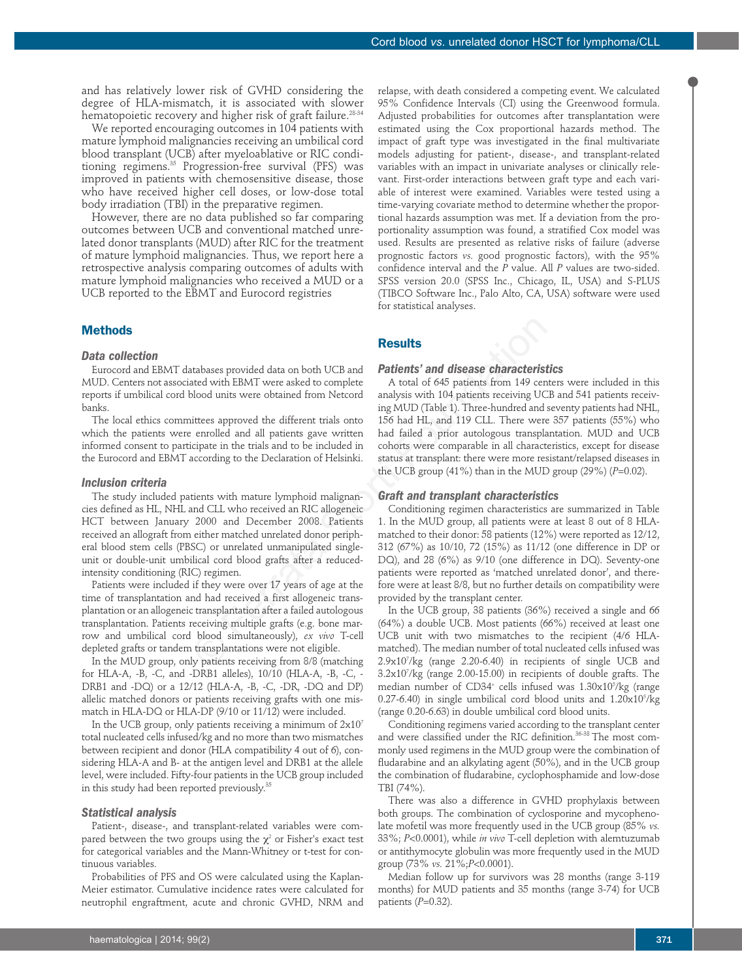and has relatively lower risk of GVHD considering the degree of HLA-mismatch, it is associated with slower hematopoietic recovery and higher risk of graft failure.<sup>28-34</sup>

We reported encouraging outcomes in 104 patients with mature lymphoid malignancies receiving an umbilical cord blood transplant (UCB) after myeloablative or RIC conditioning regimens.<sup>35</sup> Progression-free survival (PFS) was improved in patients with chemosensitive disease, those who have received higher cell doses, or low-dose total body irradiation (TBI) in the preparative regimen.

However, there are no data published so far comparing outcomes between UCB and conventional matched unrelated donor transplants (MUD) after RIC for the treatment of mature lymphoid malignancies. Thus, we report here a retrospective analysis comparing outcomes of adults with mature lymphoid malignancies who received a MUD or a UCB reported to the EBMT and Eurocord registries

# **Methods**

## *Data collection*

Eurocord and EBMT databases provided data on both UCB and MUD. Centers not associated with EBMT were asked to complete reports if umbilical cord blood units were obtained from Netcord banks.

The local ethics committees approved the different trials onto which the patients were enrolled and all patients gave written informed consent to participate in the trials and to be included in the Eurocord and EBMT according to the Declaration of Helsinki.

# *Inclusion criteria*

The study included patients with mature lymphoid malignancies defined as HL, NHL and CLL who received an RIC allogeneic HCT between January 2000 and December 2008. Patients received an allograft from either matched unrelated donor peripheral blood stem cells (PBSC) or unrelated unmanipulated singleunit or double-unit umbilical cord blood grafts after a reducedintensity conditioning (RIC) regimen.

Patients were included if they were over 17 years of age at the time of transplantation and had received a first allogeneic transplantation or an allogeneic transplantation after a failed autologous transplantation. Patients receiving multiple grafts (e.g. bone marrow and umbilical cord blood simultaneously), *ex vivo* T-cell depleted grafts or tandem transplantations were not eligible.

In the MUD group, only patients receiving from 8/8 (matching for HLA-A, -B, -C, and -DRB1 alleles), 10/10 (HLA-A, -B, -C, - DRB1 and -DQ) or a 12/12 (HLA-A, -B, -C, -DR, -DQ and DP) allelic matched donors or patients receiving grafts with one mismatch in HLA-DQ or HLA-DP (9/10 or 11/12) were included.

In the UCB group, only patients receiving a minimum of  $2x10<sup>7</sup>$ total nucleated cells infused/kg and no more than two mismatches between recipient and donor (HLA compatibility 4 out of 6), considering HLA-A and B- at the antigen level and DRB1 at the allele level, were included. Fifty-four patients in the UCB group included in this study had been reported previously.<sup>35</sup>

## *Statistical analysis*

Patient-, disease-, and transplant-related variables were compared between the two groups using the  $\chi^2$  or Fisher's exact test for categorical variables and the Mann-Whitney or t-test for continuous variables.

Probabilities of PFS and OS were calculated using the Kaplan-Meier estimator. Cumulative incidence rates were calculated for neutrophil engraftment, acute and chronic GVHD, NRM and relapse, with death considered a competing event. We calculated 95% Confidence Intervals (CI) using the Greenwood formula. Adjusted probabilities for outcomes after transplantation were estimated using the Cox proportional hazards method. The impact of graft type was investigated in the final multivariate models adjusting for patient-, disease-, and transplant-related variables with an impact in univariate analyses or clinically relevant. First-order interactions between graft type and each variable of interest were examined. Variables were tested using a time-varying covariate method to determine whether the proportional hazards assumption was met. If a deviation from the proportionality assumption was found, a stratified Cox model was used. Results are presented as relative risks of failure (adverse prognostic factors *vs.* good prognostic factors), with the 95% confidence interval and the *P* value. All *P* values are two-sided. SPSS version 20.0 (SPSS Inc., Chicago, IL, USA) and S-PLUS (TIBCO Software Inc., Palo Alto, CA, USA) software were used for statistical analyses.

# **Results**

## *Patients' and disease characteristics*

A total of 645 patients from 149 centers were included in this analysis with 104 patients receiving UCB and 541 patients receiving MUD (Table 1). Three-hundred and seventy patients had NHL, 156 had HL, and 119 CLL. There were 357 patients (55%) who had failed a prior autologous transplantation. MUD and UCB cohorts were comparable in all characteristics, except for disease status at transplant: there were more resistant/relapsed diseases in the UCB group (41%) than in the MUD group (29%) (*P*=0.02). **Results**<br> **Results**<br> **Results**<br> **Results**<br> **Results**<br> **Results**<br> **Results**<br> **Results**<br> **Results**<br> **Results**<br> **Results**<br> **Results**<br> **Results**<br> **Results**<br> **Results**<br> **Results**<br> **Results**<br> **Results**<br> **Results**<br> **Results**<br>

# *Graft and transplant characteristics*

Conditioning regimen characteristics are summarized in Table 1. In the MUD group, all patients were at least 8 out of 8 HLAmatched to their donor: 58 patients (12%) were reported as 12/12, 312 (67%) as 10/10, 72 (15%) as 11/12 (one difference in DP or DQ), and 28 (6%) as 9/10 (one difference in DQ). Seventy-one patients were reported as 'matched unrelated donor', and therefore were at least 8/8, but no further details on compatibility were provided by the transplant center.

In the UCB group, 38 patients (36%) received a single and 66 (64%) a double UCB. Most patients (66%) received at least one UCB unit with two mismatches to the recipient (4/6 HLAmatched). The median number of total nucleated cells infused was 2.9x107 /kg (range 2.20-6.40) in recipients of single UCB and 3.2x107 /kg (range 2.00-15.00) in recipients of double grafts. The median number of CD34+ cells infused was 1.30x105 /kg (range  $(0.27-6.40)$  in single umbilical cord blood units and  $1.20 \times 10^{5}$ /kg (range 0.20-6.63) in double umbilical cord blood units.

Conditioning regimens varied according to the transplant center and were classified under the RIC definition.<sup>36-38</sup> The most commonly used regimens in the MUD group were the combination of fludarabine and an alkylating agent (50%), and in the UCB group the combination of fludarabine, cyclophosphamide and low-dose TBI (74%).

There was also a difference in GVHD prophylaxis between both groups. The combination of cyclosporine and mycophenolate mofetil was more frequently used in the UCB group (85% *vs.* 33%; *P*<0.0001), while *in vivo* T-cell depletion with alemtuzumab or antithymocyte globulin was more frequently used in the MUD group (73% *vs.* 21%;*P*<0.0001).

Median follow up for survivors was 28 months (range 3-119 months) for MUD patients and 35 months (range 3-74) for UCB patients (*P*=0.32).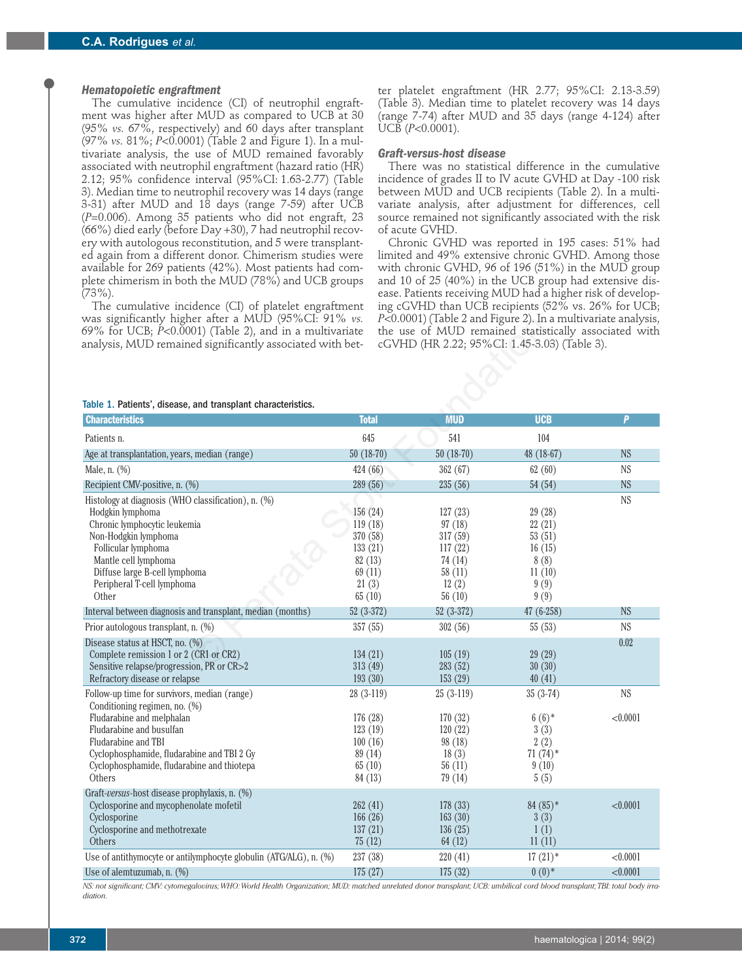## *Hematopoietic engraftment*

The cumulative incidence (CI) of neutrophil engraftment was higher after MUD as compared to UCB at 30 (95% *vs.* 67%, respectively) and 60 days after transplant (97% *vs.* 81%; *P*<0.0001) (Table 2 and Figure 1). In a multivariate analysis, the use of MUD remained favorably associated with neutrophil engraftment (hazard ratio (HR) 2.12; 95% confidence interval (95%CI: 1.63-2.77) (Table 3). Median time to neutrophil recovery was 14 days (range 3-31) after MUD and 18 days (range 7-59) after UCB (*P*=0.006). Among 35 patients who did not engraft, 23 (66%) died early (before Day +30), 7 had neutrophil recovery with autologous reconstitution, and 5 were transplanted again from a different donor. Chimerism studies were available for 269 patients (42%). Most patients had complete chimerism in both the MUD (78%) and UCB groups  $(73\%)$ .

The cumulative incidence (CI) of platelet engraftment was significantly higher after a MUD (95%CI: 91% *vs.* 69% for UCB; *P*<0.0001) (Table 2), and in a multivariate analysis, MUD remained significantly associated with better platelet engraftment (HR 2.77; 95%CI: 2.13-3.59) (Table 3). Median time to platelet recovery was 14 days (range 7-74) after MUD and 35 days (range 4-124) after UCB (*P*<0.0001).

### *Graft-versus-host disease*

There was no statistical difference in the cumulative incidence of grades II to IV acute GVHD at Day -100 risk between MUD and UCB recipients (Table 2). In a multivariate analysis, after adjustment for differences, cell source remained not significantly associated with the risk of acute GVHD.

Chronic GVHD was reported in 195 cases: 51% had limited and 49% extensive chronic GVHD. Among those with chronic GVHD, 96 of 196 (51%) in the MUD group and 10 of 25 (40%) in the UCB group had extensive disease. Patients receiving MUD had a higher risk of developing cGVHD than UCB recipients (52% vs. 26% for UCB; *P*<0.0001) (Table 2 and Figure 2). In a multivariate analysis, the use of MUD remained statistically associated with cGVHD (HR 2.22; 95%CI: 1.45-3.03) (Table 3).

#### Table 1. Patients', disease, and transplant characteristics.

| was significantly higher after a MUD (95%CI: 91% <i>vs.</i>                                                                   |              | $P<0.0001$ ) (Table 2 and Figure 2). In a multivariate analysis,                                      |             |           |
|-------------------------------------------------------------------------------------------------------------------------------|--------------|-------------------------------------------------------------------------------------------------------|-------------|-----------|
| 69% for UCB; $\dot{P}$ <0.0001) (Table 2), and in a multivariate<br>analysis, MUD remained significantly associated with bet- |              | the use of MUD remained statistically associated with<br>cGVHD (HR 2.22; 95%CI: 1.45-3.03) (Table 3). |             |           |
|                                                                                                                               |              |                                                                                                       |             |           |
|                                                                                                                               |              |                                                                                                       |             |           |
|                                                                                                                               |              |                                                                                                       |             |           |
|                                                                                                                               |              |                                                                                                       |             |           |
| Table 1. Patients', disease, and transplant characteristics.                                                                  |              |                                                                                                       |             |           |
| <b>Characteristics</b>                                                                                                        | <b>Total</b> | <b>MUD</b>                                                                                            | <b>UCB</b>  | P         |
| Patients n.                                                                                                                   | 645          | 541                                                                                                   | 104         |           |
| Age at transplantation, years, median (range)                                                                                 | $50(18-70)$  | $50(18-70)$                                                                                           | 48 (18-67)  | <b>NS</b> |
| Male, n. (%)                                                                                                                  | 424 (66)     | 362 (67)                                                                                              | 62(60)      | <b>NS</b> |
| Recipient CMV-positive, n. (%)                                                                                                | 289 (56)     | 235(56)                                                                                               | 54(54)      | <b>NS</b> |
| Histology at diagnosis (WHO classification), n. (%)                                                                           |              |                                                                                                       |             | <b>NS</b> |
| Hodgkin lymphoma                                                                                                              | 156(24)      | 127(23)                                                                                               | 29(28)      |           |
| Chronic lymphocytic leukemia                                                                                                  | 119(18)      | 97(18)                                                                                                | 22(21)      |           |
| Non-Hodgkin lymphoma                                                                                                          | 370 (58)     | 317 (59)                                                                                              | 53(51)      |           |
| Follicular lymphoma                                                                                                           | 133(21)      | 117(22)                                                                                               | 16(15)      |           |
| Mantle cell lymphoma                                                                                                          | 82(13)       | 74(14)                                                                                                | 8(8)        |           |
| Diffuse large B-cell lymphoma                                                                                                 | 69(11)       | 58(11)                                                                                                | 11(10)      |           |
| Peripheral T-cell lymphoma                                                                                                    | 21(3)        | 12(2)                                                                                                 | 9(9)        |           |
| Other                                                                                                                         | 65(10)       | 56 $(10)$                                                                                             | 9(9)        |           |
| Interval between diagnosis and transplant, median (months)                                                                    | $52(3-372)$  | $52(3-372)$                                                                                           | $47(6-258)$ | <b>NS</b> |
| Prior autologous transplant, n. (%)                                                                                           | 357(55)      | 302 (56)                                                                                              | 55(53)      | <b>NS</b> |
| Disease status at HSCT, no. (%)                                                                                               |              |                                                                                                       |             | 0.02      |
| Complete remission 1 or 2 (CR1 or CR2)                                                                                        | 134(21)      | 105(19)                                                                                               | 29(29)      |           |
| Sensitive relapse/progression, PR or CR>2                                                                                     | 313 (49)     | 283(52)                                                                                               | 30(30)      |           |
| Refractory disease or relapse                                                                                                 | 193 (30)     | 153(29)                                                                                               | 40(41)      |           |
| Follow-up time for survivors, median (range)                                                                                  | $28(3-119)$  | $25(3-119)$                                                                                           | $35(3-74)$  | <b>NS</b> |
| Conditioning regimen, no. (%)                                                                                                 |              |                                                                                                       |             |           |
| Fludarabine and melphalan                                                                                                     | 176 (28)     | 170(32)                                                                                               | $6(6)$ *    | < 0.0001  |
| Fludarabine and busulfan                                                                                                      | 123(19)      | 120(22)                                                                                               | 3(3)        |           |
| Fludarabine and TBI                                                                                                           | 100(16)      | 98(18)                                                                                                | 2(2)        |           |
| Cyclophosphamide, fludarabine and TBI 2 Gy                                                                                    | 89 (14)      | 18(3)                                                                                                 | $71(74)$ *  |           |
| Cyclophosphamide, fludarabine and thiotepa                                                                                    | 65(10)       | 56(11)                                                                                                | 9(10)       |           |
| Others                                                                                                                        | 84 (13)      | 79(14)                                                                                                | 5(5)        |           |
| Graft-versus-host disease prophylaxis, n. (%)                                                                                 |              |                                                                                                       |             |           |
| Cyclosporine and mycophenolate mofetil                                                                                        | 262(41)      | 178 (33)                                                                                              | $84(85)*$   | < 0.0001  |
| Cyclosporine                                                                                                                  | 166(26)      | 163(30)                                                                                               | 3(3)        |           |
| Cyclosporine and methotrexate                                                                                                 | 137(21)      | 136(25)                                                                                               | 1(1)        |           |
| Others                                                                                                                        | 75(12)       | 64(12)                                                                                                | 11(11)      |           |
| Use of antithymocyte or antilymphocyte globulin (ATG/ALG), n. (%)                                                             | 237 (38)     | 220(41)                                                                                               | $17(21)$ *  | < 0.0001  |
| Use of alemtuzumab, n. $(\%)$                                                                                                 | 175(27)      | 175(32)                                                                                               | $0(0)*$     | < 0.0001  |

*NS: not significant; CMV: cytomegalovirus; WHO: World Health Organization; MUD: matched unrelated donor transplant; UCB: umbilical cord blood transplant; TBI: total body irradiation.*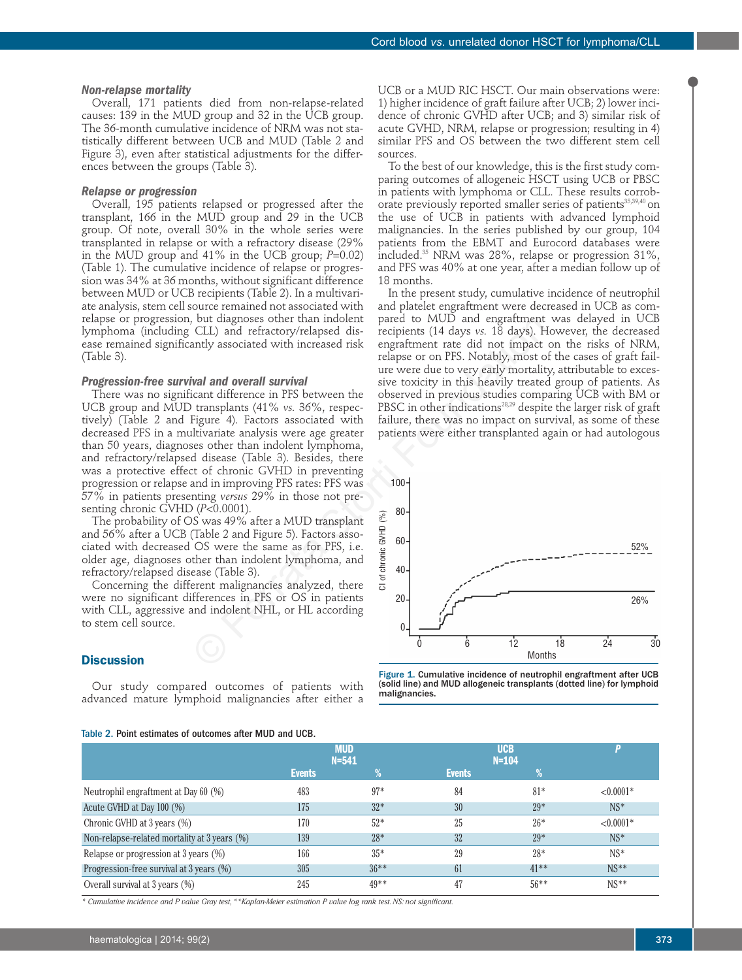#### *Non-relapse mortality*

Overall, 171 patients died from non-relapse-related causes: 139 in the MUD group and 32 in the UCB group. The 36-month cumulative incidence of NRM was not statistically different between UCB and MUD (Table 2 and Figure 3), even after statistical adjustments for the differences between the groups (Table 3).

# *Relapse or progression*

Overall, 195 patients relapsed or progressed after the transplant, 166 in the MUD group and 29 in the UCB group. Of note, overall 30% in the whole series were transplanted in relapse or with a refractory disease (29% in the MUD group and 41% in the UCB group; *P*=0.02) (Table 1). The cumulative incidence of relapse or progression was 34% at 36 months, without significant difference between MUD or UCB recipients (Table 2). In a multivariate analysis, stem cell source remained not associated with relapse or progression, but diagnoses other than indolent lymphoma (including CLL) and refractory/relapsed disease remained significantly associated with increased risk (Table 3).

## *Progression-free survival and overall survival*

There was no significant difference in PFS between the UCB group and MUD transplants (41% *vs.* 36%, respectively) (Table 2 and Figure 4). Factors associated with decreased PFS in a multivariate analysis were age greater than 50 years, diagnoses other than indolent lymphoma, and refractory/relapsed disease (Table 3). Besides, there was a protective effect of chronic GVHD in preventing progression or relapse and in improving PFS rates: PFS was 57% in patients presenting *versus* 29% in those not presenting chronic GVHD (*P*<0.0001).

The probability of OS was 49% after a MUD transplant and 56% after a UCB (Table 2 and Figure 5). Factors associated with decreased OS were the same as for PFS, i.e. older age, diagnoses other than indolent lymphoma, and refractory/relapsed disease (Table 3).

Concerning the different malignancies analyzed, there were no significant differences in PFS or OS in patients with CLL, aggressive and indolent NHL, or HL according to stem cell source.

# **Discussion**

Our study compared outcomes of patients with advanced mature lymphoid malignancies after either a

# Table 2. Point estimates of outcomes after MUD and UCB.

UCB or a MUD RIC HSCT. Our main observations were: 1) higher incidence of graft failure after UCB; 2) lower incidence of chronic GVHD after UCB; and 3) similar risk of acute GVHD, NRM, relapse or progression; resulting in 4) similar PFS and OS between the two different stem cell sources.

To the best of our knowledge, this is the first study comparing outcomes of allogeneic HSCT using UCB or PBSC in patients with lymphoma or CLL. These results corroborate previously reported smaller series of patients<sup>35,39,40</sup> on the use of UCB in patients with advanced lymphoid malignancies. In the series published by our group, 104 patients from the EBMT and Eurocord databases were included.35 NRM was 28%, relapse or progression 31%, and PFS was 40% at one year, after a median follow up of 18 months.

In the present study, cumulative incidence of neutrophil and platelet engraftment were decreased in UCB as compared to MUD and engraftment was delayed in UCB recipients (14 days *vs.* 18 days). However, the decreased engraftment rate did not impact on the risks of NRM, relapse or on PFS. Notably, most of the cases of graft failure were due to very early mortality, attributable to excessive toxicity in this heavily treated group of patients. As observed in previous studies comparing UCB with BM or PBSC in other indications<sup>28,29</sup> despite the larger risk of graft failure, there was no impact on survival, as some of these patients were either transplanted again or had autologous





| Table 2. Point estimates of outcomes after MUD and UCB. |                         |        |                       |         |              |  |  |  |  |
|---------------------------------------------------------|-------------------------|--------|-----------------------|---------|--------------|--|--|--|--|
|                                                         | <b>MUD</b><br>$N = 541$ |        | <b>UCB</b><br>$N=104$ |         |              |  |  |  |  |
|                                                         | <b>Events</b>           | $\%$   | <b>Events</b>         | ℅       |              |  |  |  |  |
| Neutrophil engraftment at Day 60 (%)                    | 483                     | $97*$  | 84                    | $81*$   | ${<}0.0001*$ |  |  |  |  |
| Acute GVHD at Day 100 (%)                               | 175                     | $32*$  | 30                    | $29*$   | $NS^*$       |  |  |  |  |
| Chronic GVHD at 3 years (%)                             | 170                     | $52*$  | 25                    | $26*$   | ${<}0.0001*$ |  |  |  |  |
| Non-relapse-related mortality at 3 years (%)            | 139                     | $28*$  | 32                    | $29*$   | $NS^*$       |  |  |  |  |
| Relapse or progression at 3 years (%)                   | 166                     | $35*$  | 29                    | $28*$   | $NS*$        |  |  |  |  |
| Progression-free survival at 3 years (%)                | 305                     | $36**$ | 61                    | $41**$  | $NS**$       |  |  |  |  |
| Overall survival at 3 years (%)                         | 245                     | $49**$ | 47                    | $56***$ | $NS**$       |  |  |  |  |

*\* Cumulative incidence and P value Gray test, \*\*Kaplan-Meier estimation P value log rank test. NS: not significant.*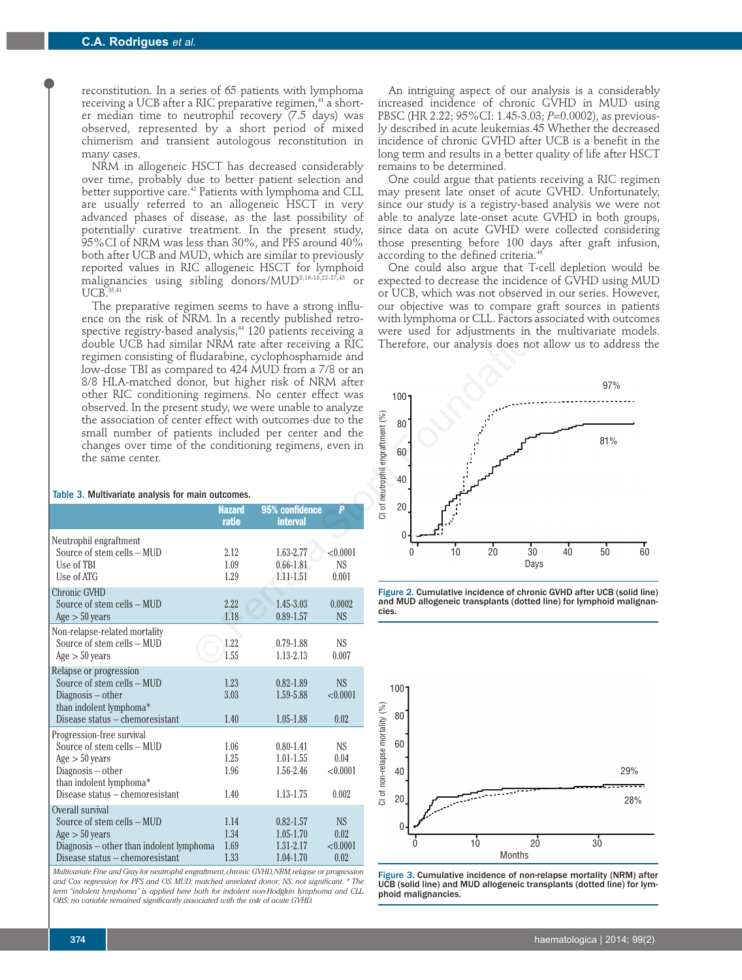reconstitution. In a series of 65 patients with lymphoma receiving a UCB after a RIC preparative regimen,<sup>41</sup> a shorter median time to neutrophil recovery (7.5 days) was observed, represented by a short period of mixed chimerism and transient autologous reconstitution in many cases.

NRM in allogeneic HSCT has decreased considerably over time, probably due to better patient selection and better supportive care.<sup>42</sup> Patients with lymphoma and CLL are usually referred to an allogeneic HSCT in very advanced phases of disease, as the last possibility of potentially curative treatment. In the present study, 95%CI of NRM was less than 30%, and PFS around 40% both after UCB and MUD, which are similar to previously reported values in RIC allogeneic HSCT for lymphoid malignancies using sibling donors/MUD8,16-18,22-27,43 or  $\ensuremath{\mathsf{UCB}}^{S5,41}$ 

The preparative regimen seems to have a strong influence on the risk of NRM. In a recently published retrospective registry-based analysis,<sup>44</sup> 120 patients receiving a double UCB had similar NRM rate after receiving a RIC regimen consisting of fludarabine, cyclophosphamide and low-dose TBI as compared to 424 MUD from a 7/8 or an 8/8 HLA-matched donor, but higher risk of NRM after other RIC conditioning regimens. No center effect was observed. In the present study, we were unable to analyze the association of center effect with outcomes due to the small number of patients included per center and the changes over time of the conditioning regimens, even in the same center.

|                                                                                  | <b>Hazard</b>        | 95% confidence                          | p                              |
|----------------------------------------------------------------------------------|----------------------|-----------------------------------------|--------------------------------|
|                                                                                  | ratio                | <b>interval</b>                         |                                |
| Neutrophil engraftment<br>Source of stem cells - MUD<br>Use of TBI<br>Use of ATG | 2.12<br>1.09<br>1.29 | 1.63-2.77<br>$0.66 - 1.81$<br>1.11-1.51 | < 0.0001<br><b>NS</b><br>0.001 |
| Chronic GVHD<br>Source of stem cells - MUD<br>Age > 50 years                     | 2.22<br>1.18         | 1.45-3.03<br>$0.89 - 1.57$              | 0.0002<br><b>NS</b>            |
| Non-relapse-related mortality<br>Source of stem cells - MUD<br>Age > 50 years    | 1.22<br>1.55         | $0.79 - 1.88$<br>1.13-2.13              | NS<br>0.007                    |
| Relapse or progression                                                           |                      |                                         |                                |
| Source of stem cells - MUD                                                       | 1.23                 | $0.82 - 1.89$                           | <b>NS</b>                      |
| Diagnosis $-$ other                                                              | 3.03                 | 1.59-5.88                               | < 0.0001                       |
| than indolent lymphoma*<br>Disease status – chemoresistant                       | 1.40                 | $1.05 - 1.88$                           | 0.02                           |
| Progression-free survival                                                        |                      |                                         |                                |
| Source of stem cells - MUD                                                       | 1.06                 | $0.80 - 1.41$                           | NS.                            |
| Age > 50 years                                                                   | 1.25                 | $1.01 - 1.55$                           | 0.04                           |
| $Diagonosis - other$<br>than indolent lymphoma*                                  | 1.96                 | 1.56-2.46                               | < 0.0001                       |
| Disease status - chemoresistant                                                  | 1.40                 | 1.13-1.75                               | 0.002                          |
| Overall survival                                                                 |                      |                                         |                                |
| Source of stem cells - MUD                                                       | 1.14                 | $0.82 - 1.57$                           | <b>NS</b>                      |
| Age > 50 years                                                                   | 1.34                 | $1.05 - 1.70$                           | 0.02                           |
| Diagnosis - other than indolent lymphoma                                         | 1.69                 | 1.31-2.17                               | < 0.0001                       |
| Disease status - chemoresistant                                                  | 1.33                 | $1.04 - 1.70$                           | 0.02                           |

*Multivariate Fine and Gray for neutrophil engraftment, chronic GVHD, NRM, relapse or progression and Cox regression for PFS and OS. MUD: matched unrelated donor; NS: not significant. \* The term "indolent lymphoma" is applied here both for indolent non-Hodgkin lymphoma and CLL. OBS: no variable remained significantly associated with the risk of acute GVHD.*

An intriguing aspect of our analysis is a considerably increased incidence of chronic GVHD in MUD using PBSC (HR 2.22; 95%CI: 1.45-3.03; *P*=0.0002), as previously described in acute leukemias.45 Whether the decreased incidence of chronic GVHD after UCB is a benefit in the long term and results in a better quality of life after HSCT remains to be determined.

One could argue that patients receiving a RIC regimen may present late onset of acute GVHD. Unfortunately, since our study is a registry-based analysis we were not able to analyze late-onset acute GVHD in both groups, since data on acute GVHD were collected considering those presenting before 100 days after graft infusion, according to the defined criteria.<sup>4</sup>

One could also argue that T-cell depletion would be expected to decrease the incidence of GVHD using MUD or UCB, which was not observed in our series. However, our objective was to compare graft sources in patients with lymphoma or CLL. Factors associated with outcomes were used for adjustments in the multivariate models. Therefore, our analysis does not allow us to address the



Figure 2. Cumulative incidence of chronic GVHD after UCB (solid line) and MUD allogeneic transplants (dotted line) for lymphoid malignancies.



Figure 3. Cumulative incidence of non-relapse mortality (NRM) after UCB (solid line) and MUD allogeneic transplants (dotted line) for lymphoid malignancies.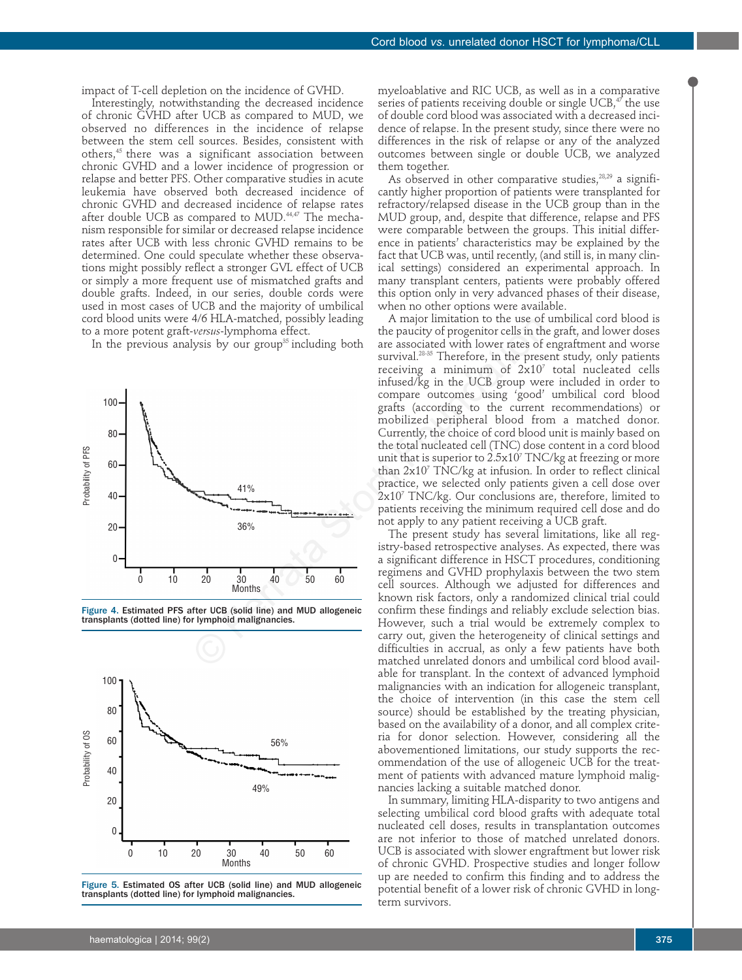impact of T-cell depletion on the incidence of GVHD.

Interestingly, notwithstanding the decreased incidence of chronic GVHD after UCB as compared to MUD, we observed no differences in the incidence of relapse between the stem cell sources. Besides, consistent with others,45 there was a significant association between chronic GVHD and a lower incidence of progression or relapse and better PFS. Other comparative studies in acute leukemia have observed both decreased incidence of chronic GVHD and decreased incidence of relapse rates after double UCB as compared to MUD.<sup>44,47</sup> The mechanism responsible for similar or decreased relapse incidence rates after UCB with less chronic GVHD remains to be determined. One could speculate whether these observations might possibly reflect a stronger GVL effect of UCB or simply a more frequent use of mismatched grafts and double grafts. Indeed, in our series, double cords were used in most cases of UCB and the majority of umbilical cord blood units were 4/6 HLA-matched, possibly leading to a more potent graft-*versus*-lymphoma effect.

In the previous analysis by our group<sup>35</sup> including both



Figure 4. Estimated PFS after UCB (solid line) and MUD allogeneic transplants (dotted line) for lymphoid malignancies.



Figure 5. Estimated OS after UCB (solid line) and MUD allogeneic transplants (dotted line) for lymphoid malignancies.

myeloablative and RIC UCB, as well as in a comparative series of patients receiving double or single UCB, $47$  the use of double cord blood was associated with a decreased incidence of relapse. In the present study, since there were no differences in the risk of relapse or any of the analyzed outcomes between single or double UCB, we analyzed them together.

As observed in other comparative studies,  $28,29$  a significantly higher proportion of patients were transplanted for refractory/relapsed disease in the UCB group than in the MUD group, and, despite that difference, relapse and PFS were comparable between the groups. This initial difference in patients' characteristics may be explained by the fact that UCB was, until recently, (and still is, in many clinical settings) considered an experimental approach. In many transplant centers, patients were probably offered this option only in very advanced phases of their disease, when no other options were available.

A major limitation to the use of umbilical cord blood is the paucity of progenitor cells in the graft, and lower doses are associated with lower rates of engraftment and worse survival.<sup>28-35</sup> Therefore, in the present study, only patients receiving a minimum of  $2x10<sup>7</sup>$  total nucleated cells infused/kg in the UCB group were included in order to compare outcomes using 'good' umbilical cord blood grafts (according to the current recommendations) or mobilized peripheral blood from a matched donor. Currently, the choice of cord blood unit is mainly based on the total nucleated cell (TNC) dose content in a cord blood unit that is superior to 2.5x10<sup>7</sup> TNC/kg at freezing or more than  $2x10<sup>7</sup>$  TNC/kg at infusion. In order to reflect clinical practice, we selected only patients given a cell dose over 2x10<sup>7</sup> TNC/kg. Our conclusions are, therefore, limited to patients receiving the minimum required cell dose and do not apply to any patient receiving a UCB graft.

The present study has several limitations, like all registry-based retrospective analyses. As expected, there was a significant difference in HSCT procedures, conditioning regimens and GVHD prophylaxis between the two stem cell sources. Although we adjusted for differences and known risk factors, only a randomized clinical trial could confirm these findings and reliably exclude selection bias. However, such a trial would be extremely complex to carry out, given the heterogeneity of clinical settings and difficulties in accrual, as only a few patients have both matched unrelated donors and umbilical cord blood available for transplant. In the context of advanced lymphoid malignancies with an indication for allogeneic transplant, the choice of intervention (in this case the stem cell source) should be established by the treating physician, based on the availability of a donor, and all complex criteria for donor selection. However, considering all the abovementioned limitations, our study supports the recommendation of the use of allogeneic UCB for the treatment of patients with advanced mature lymphoid malignancies lacking a suitable matched donor.

In summary, limiting HLA-disparity to two antigens and selecting umbilical cord blood grafts with adequate total nucleated cell doses, results in transplantation outcomes are not inferior to those of matched unrelated donors. UCB is associated with slower engraftment but lower risk of chronic GVHD. Prospective studies and longer follow up are needed to confirm this finding and to address the potential benefit of a lower risk of chronic GVHD in longterm survivors.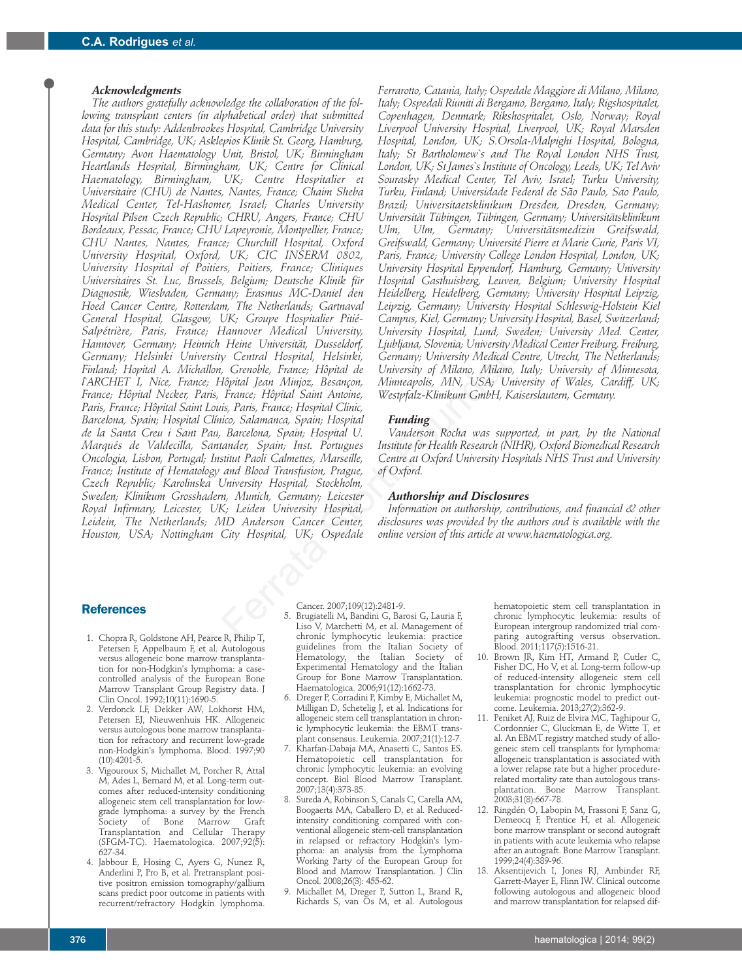## *Acknowledgments*

*The authors gratefully acknowledge the collaboration of the following transplant centers (in alphabetical order) that submitted data for this study: Addenbrookes Hospital, Cambridge University Hospital, Cambridge, UK; Asklepios Klinik St. Georg, Hamburg, Germany; Avon Haematology Unit, Bristol, UK; Birmingham Heartlands Hospital, Birmingham, UK; Centre for Clinical Haematology, Birmingham, UK; Centre Hospitalier et Universitaire (CHU) de Nantes, Nantes, France; Chaim Sheba Medical Center, Tel-Hashomer, Israel; Charles University Hospital Pilsen Czech Republic; CHRU, Angers, France; CHU Bordeaux, Pessac, France; CHU Lapeyronie, Montpellier, France; CHU Nantes, Nantes, France; Churchill Hospital, Oxford University Hospital, Oxford, UK; CIC INSERM 0802, University Hospital of Poitiers, Poitiers, France; Cliniques Universitaires St. Luc, Brussels, Belgium; Deutsche Klinik für Diagnostik, Wiesbaden, Germany; Erasmus MC-Daniel den Hoed Cancer Centre, Rotterdam, The Netherlands; Gartnaval General Hospital, Glasgow, UK; Groupe Hospitalier Pitié-Salpétrière, Paris, France; Hannover Medical University, Hannover, Germany; Heinrich Heine Universität, Dusseldorf, Germany; Helsinki University Central Hospital, Helsinki, Finland; Hopital A. Michallon, Grenoble, France; Hôpital de l`ARCHET I, Nice, France; Hôpital Jean Minjoz, Besançon, France; Hôpital Necker, Paris, France; Hôpital Saint Antoine, Paris, France; Hôpital Saint Louis, Paris, France; Hospital Clinic, Barcelona, Spain; Hospital Clínico, Salamanca, Spain; Hospital de la Santa Creu i Sant Pau, Barcelona, Spain; Hospital U. Marqués de Valdecilla, Santander, Spain; Inst. Portugues Oncologia, Lisbon, Portugal; Institut Paoli Calmettes, Marseille, France; Institute of Hematology and Blood Transfusion, Prague, Czech Republic; Karolinska University Hospital, Stockholm, Sweden; Klinikum Grosshadern, Munich, Germany; Leicester Royal Infirmary, Leicester, UK; Leiden University Hospital, Leidein, The Netherlands; MD Anderson Cancer Center, Houston, USA; Nottingham City Hospital, UK; Ospedale* Computer Hospitaller Piller Campus, Kiel, Germany, University Hospital, Lund, Sweeten;<br>
The Heinrich Heine University, University, University Hospital, Lund, Sweeten;<br>
Eleinrich Heine University, Dusseldorf, Ljubljana, Slo

*Ferrarotto, Catania, Italy; Ospedale Maggiore di Milano, Milano, Italy; Ospedali Riuniti di Bergamo, Bergamo, Italy; Rigshospitalet, Copenhagen, Denmark; Rikshospitalet, Oslo, Norway; Royal Liverpool University Hospital, Liverpool, UK; Royal Marsden Hospital, London, UK; S.Orsola-Malpighi Hospital, Bologna, Italy; St Bartholomew`s and The Royal London NHS Trust, London, UK; St James`s Institute of Oncology, Leeds, UK; Tel Aviv Sourasky Medical Center, Tel Aviv, Israel; Turku University, Turku, Finland; Universidade Federal de São Paulo, Sao Paulo, Brazil; Universitaetsklinikum Dresden, Dresden, Germany; Universität Tübingen, Tübingen, Germany; Universitätsklinikum Ulm, Ulm, Germany; Universitätsmedizin Greifswald, Greifswald, Germany; Université Pierre et Marie Curie, Paris VI, Paris, France; University College London Hospital, London, UK; University Hospital Eppendorf, Hamburg, Germany; University Hospital Gasthuisberg, Leuven, Belgium; University Hospital Heidelberg, Heidelberg, Germany; University Hospital Leipzig, Leipzig, Germany; University Hospital Schleswig-Holstein Kiel Campus, Kiel, Germany; University Hospital, Basel, Switzerland; University Hospital, Lund, Sweden; University Med. Center, Ljubljana, Slovenia; University Medical Center Freiburg, Freiburg, Germany; University Medical Centre, Utrecht, The Netherlands; University of Milano, Milano, Italy; University of Minnesota, Minneapolis, MN, USA; University of Wales, Cardiff, UK; Westpfalz-Klinikum GmbH, Kaiserslautern, Germany.*

# *Funding*

*Vanderson Rocha was supported, in part, by the National Institute for Health Research (NIHR), Oxford Biomedical Research Centre at Oxford University Hospitals NHS Trust and University of Oxford.*

# *Authorship and Disclosures*

*Information on authorship, contributions, and financial & other disclosures was provided by the authors and is available with the online version of this article at www.haematologica.org.*

# **References**

- 1. Chopra R, Goldstone AH, Pearce R, Philip T, Petersen F, Appelbaum F, et al. Autologous versus allogeneic bone marrow transplantation for non-Hodgkin's lymphoma: a casecontrolled analysis of the European Bone Marrow Transplant Group Registry data. J Clin Oncol. 1992;10(11):1690-5.
- 2. Verdonck LF, Dekker AW, Lokhorst HM, Petersen EJ, Nieuwenhuis HK. Allogeneic versus autologous bone marrow transplantation for refractory and recurrent low-grade non-Hodgkin's lymphoma. Blood. 1997;90 (10):4201-5.
- 3. Vigouroux S, Michallet M, Porcher R, Attal M, Ades L, Bernard M, et al. Long-term outcomes after reduced-intensity conditioning allogeneic stem cell transplantation for lowgrade lymphoma: a survey by the French Society of Bone Marrow Graft Transplantation and Cellular Therapy (SFGM-TC). Haematologica. 2007;92(5): 627-34.
- 4. Jabbour E, Hosing C, Ayers G, Nunez R, Anderlini P, Pro B, et al. Pretransplant positive positron emission tomography/gallium scans predict poor outcome in patients with recurrent/refractory Hodgkin lymphoma.

Cancer. 2007;109(12):2481-9.

- 5. Brugiatelli M, Bandini G, Barosi G, Lauria F, Liso V, Marchetti M, et al. Management of chronic lymphocytic leukemia: practice guidelines from the Italian Society of Hematology, the Italian Society of Experimental Hematology and the Italian Group for Bone Marrow Transplantation. Haematologica. 2006;91(12):1662-73.
- 6. Dreger P, Corradini P, Kimby E, Michallet M, Milligan D, Schetelig J, et al. Indications for allogeneic stem cell transplantation in chronic lymphocytic leukemia: the EBMT transplant consensus. Leukemia. 2007;21(1):12-7.
- 7. Kharfan-Dabaja MA, Anasetti C, Santos ES. Hematopoietic cell transplantation for chronic lymphocytic leukemia: an evolving concept. Biol Blood Marrow Transplant. 2007;13(4):373-85.
- 8. Sureda A, Robinson S, Canals C, Carella AM, Boogaerts MA, Caballero D, et al. Reducedintensity conditioning compared with conventional allogeneic stem-cell transplantation in relapsed or refractory Hodgkin's lymphoma: an analysis from the Lymphoma Working Party of the European Group for Blood and Marrow Transplantation. J Clin Oncol. 2008;26(3): 455-62.
- 9. Michallet M, Dreger P, Sutton L, Brand R, Richards S, van Os M, et al. Autologous

hematopoietic stem cell transplantation in chronic lymphocytic leukemia: results of European intergroup randomized trial comparing autografting versus observation. Blood. 2011;117(5):1516-21.

- 10. Brown JR, Kim HT, Armand P, Cutler C, Fisher DC, Ho V, et al. Long-term follow-up of reduced-intensity allogeneic stem cell transplantation for chronic lymphocytic leukemia: prognostic model to predict outcome. Leukemia. 2013;27(2):362-9.
- 11. Peniket AJ, Ruiz de Elvira MC, Taghipour G, Cordonnier C, Gluckman E, de Witte T, et al. An EBMT registry matched study of allogeneic stem cell transplants for lymphoma: allogeneic transplantation is associated with a lower relapse rate but a higher procedurerelated mortality rate than autologous transplantation. Bone Marrow Transplant. 2003;31(8):667-78.
- 12. Ringdén O, Labopin M, Frassoni F, Sanz G, Demeocq F, Prentice H, et al. Allogeneic bone marrow transplant or second autograft in patients with acute leukemia who relapse after an autograft. Bone Marrow Transplant. 1999;24(4):389-96.
- 13. Aksentijevich I, Jones RJ, Ambinder RF, Garrett-Mayer E, Flinn IW. Clinical outcome following autologous and allogeneic blood and marrow transplantation for relapsed dif-